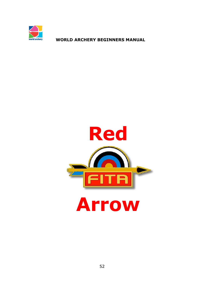

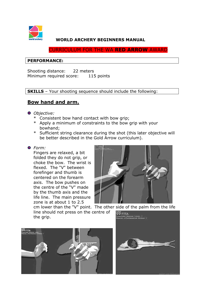

CURRICULUM FOR THE WA **RED ARROW** AWARD

# **PERFORMANCE:**

Shooting distance: 22 meters Minimum required score: 115 points

**SKILLS** – Your shooting sequence should include the following:

# **Bow hand and arm.**

# *Objective:*

- \* Consistent bow hand contact with bow grip;
- \* Apply a minimum of constraints to the bow grip with your bowhand;
- \* Sufficient string clearance during the shot (this later objective will be better described in the Gold Arrow curriculum).

### *Form:*

Fingers are relaxed, a bit folded they do not grip, or choke the bow. The wrist is flexed. The "V" between forefinger and thumb is centered on the forearm axis. The bow pushes on the centre of the "V" made by the thumb axis and the life line. The main pressure zone is at about 1 to 2.5



cm lower than the "V" point. The other side of the palm from the life line should not press on the centre of the grip.



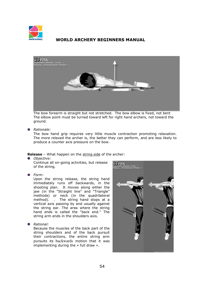



The bow forearm is straight but not stretched. The bow elbow is fixed, not bent The elbow point must be turned toward left for right hand archers, not toward the ground.

*Rationale:*

The bow hand grip requires very little muscle contraction promoting relaxation. The more relaxed the archer is, the better they can perform, and are less likely to produce a counter axis pressure on the bow.

**Release** – What happen on the string side of the archer:

*Objective:* 

Continue all on-going activities, but release of the string.

*Form:* 

Upon the string release, the string hand immediately runs off backwards, in the shooting plan. It moves along either the jaw (in the "Straight line" and "Triangle" methods) or neck (in the quadrilateral method). . The string hand stops at a vertical axis passing by and usually against the string ear. The area where the string hand ends is called the "back end." The string arm ends in the shoulders axis.

*Rational:* 

Because the muscles of the back part of the string shoulders and of the back pursuit their contractions, the entire string arm pursuits its backwards motion that it was implementing during the « full draw ».

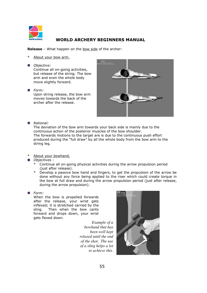

**Release** – What happen on the bow side of the archer:

- About your bow arm.
- *Objective:*

Continue all on-going activities, but release of the string. The bow arm and even the whole body move slightly forward.

*Form:* 

Upon string release, the bow arm moves towards the back of the archer after the release.



### *Rational:*

The deviation of the bow arm towards your back side is mainly due to the continuous action of the posterior muscles of the bow shoulder. The forwards motions to the target are is due to the continuous push effort produced during the "full draw" by all the whole body from the bow arm to the string leg.

- About your bowhand.
- *Objectives :* 
	- \* Continue all on-going physical activities during the arrow propulsion period (just after release).
	- Develop a passive bow hand and fingers, to get the propulsion of the arrow be done without any force being applied to the riser which could create torque in the bow at full draw and during the arrow propulsion period (just after release, during the arrow propulsion).
- *Form:*

When the bow is propelled forwards after the release, your wrist gets inflexed; it is stretched carried by the sling. Then when the bow cants forward and drops down, your wrist gets flexed down.

> *Example of a bowhand that has been well kept relaxed until the end of the shot. The use of a sling helps a lot to achieve this.*

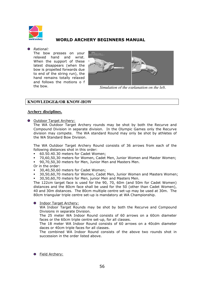

#### *Rational:*

The bow presses on your relaxed hand and wrist. When the support of these latest disappears (when the bow is propelled forwards due to end of the string run), the hand remains totally relaxed and follows the motions o f the bow.



*Simulation of the explanation on the left.*

### **KNOWLEDGE&/OR KNOW-HOW**

### **Archery disciplines.**

**O** Outdoor Target Archery:

The WA Outdoor Target Archery rounds may be shot by both the Recurve and Compound Division in separate division. In the Olympic Games only the Recurve division may compete. The WA standard Round may only be shot by athletes of the WA Standard Bow Division.

The WA Outdoor Target Archery Round consists of 36 arrows from each of the following distances shot in this order:

- ! 60.50.40.30 meters for Cadet Women;
- ! 70,60,50,30 meters for Women, Cadet Men, Junior Women and Master Women;
- ! 90,70,50,30 meters for Men, Junior Men and Masters Men.
- Or in the order:
- ! 30,40,50,60 meters for Cadet Women;
- ! 30,50,60,70 meters for Women, Cadet Men, Junior Women and Masters Women; ! 30,50,60,70 meters for Men, junior Men and Masters Men.

The 122cm target face is used for the 90, 70, 60m (and 50m for Cadet Women) distances and the 80cm face shall be used for the 50 (other than Cadet Women), 40 and 30m distances. The 80cm multiple centre set-up may be used at 30m. The 80cm triangular triple centre set-up is mandatory at WA Championship.

#### **O** Indoor Target Archery:

WA Indoor Target Rounds may be shot by both the Recurve and Compound Divisions in separate Division.

The 25 meter WA Indoor Round consists of 60 arrows on a 60cm diameter faces or the 60cm triple centre set-up, for all classes.

The 18 meter WA Indoor Round consists of 60 arrows on a 40cdm diameter daces or 40cm triple faces for all classes.

The combined WA Indoor Round consists of the above two rounds shot in succession in the order listed above.

**O** Field Archery: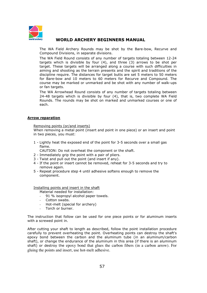

The WA Field Archery Rounds may be shot by the Bare-bow, Recurve and Compound Divisions, in separate divisions.

The WA Field Round consists of any number of targets totaling between 12-24 targets which is divisible by four (4), and three (3) arrows to be shot per target. These targets will be arranged along a course with such difficulties in aiming and shooting as the terrain presents and the spirit and traditions of the discipline require. The distances for target butts are set 5 meters to 50 meters for Bare-bow and 10 meters to 60 meters for Recurve and Compound. The course may be marked or unmarked and be shot with any number of walk-ups or fan targets.

The WA Arrowhead Round consists of any number of targets totaling between 24-48 targets which is divisible by four (4), that is, two complete WA Field Rounds. The rounds may be shot on marked and unmarked courses or one of each.

#### **Arrow reparation**

#### Removing points (or/and inserts)

When removing a metal point (insert and point in one piece) or an insert and point in two pieces, you must:

1 - Lightly heat the exposed end of the point for 3-5 seconds over a small gas flame.

CAUTION: Do not overheat the component or the shaft.

- 2 Immediately grip the point with a pair of pliers.
- 3 Twist and pull out the point (and insert if any).
- 4 If the point or insert cannot be removed, reheat for 3-5 seconds and try to remove again.
- 5 Repeat procedure step 4 until adhesive softens enough to remove the component.

Installing points and insert in the shaft

Material needed for installation:

- 91 % isopropyl alcohol paper towels.
- Cotton swabs.
- Hot-melt (special for archery)
- Torch or burner.

The instruction that follow can be used for one piece points or for aluminum inserts with a screwed point in.

After cutting your shaft to length as described, follow the point installation procedure carefully to prevent overheating the point. Overheating points can destroy the shaft's epoxy bond between the carbon and the aluminum tube (in an aluminum/carbon shaft), or change the endurance of the aluminum in this area (if there is an aluminum shaft) or destroy the epoxy bond that glues the carbon fibers (in a carbon arrow). For gluing the points and insert, use hot-melt adhesive.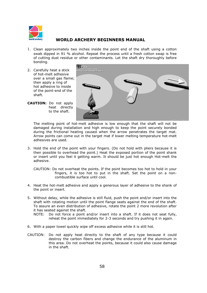

- 1. Clean approximately two inches inside the point end of the shaft using a cotton swab dipped in 91 % alcohol. Repeat the process until a fresh cotton swap is free of cutting dust residue or other contaminants. Let the shaft dry thoroughly before bonding.
- 2. Carefully heat a stick of hot-melt adhesive over a small gas flame; then apply a ring of hot adhesive to inside of the point-end of the shaft.
- **CAUTION:** Do not apply heat directly to the shaft.



The melting point of hot-melt adhesive is low enough that the shaft will not be damaged during installation and high enough to keep the point securely bonded during the frictional heating caused when the arrow penetrates the target mat. Arrow points can come out in the target mat if lower melting temperature hot-melt adhesives are used.

3. Hold the end of the point with your fingers. (Do not hold with pliers because it is then possible to overhead the point.) Heat the exposed portion of the point shank or insert until you feel it getting warm. It should be just hot enough Hot-melt the adhesive.

CAUTION: Do not overheat the points. If the point becomes too hot to hold in your fingers, it is too hot to put in the shaft. Set the point on a noncombustible surface until cool.

- 4. Heat the hot-melt adhesive and apply a generous layer of adhesive to the shank of the point or insert.
- 5. Without delay, while the adhesive is still fluid, push the point and/or insert into the shaft with rotating motion until the point flange seats against the end of the shaft. To assure an even distribution of adhesive, rotate the point 2 more revolution after it has seated against the shaft.
	- NOTE: Do not force a point and/or insert into a shaft. If it does not seat fully, reheat the point immediately for 2-3 seconds and try pushing it in again.
- 6. With a paper towel quickly wipe off excess adhesive while it is still hot.
- CAUTION: Do not apply heat directly to the shaft of any type because it could destroy the carbon fibers and change the endurance of the aluminum in this area. Do not overheat the points, because it could also cause damage in the shaft.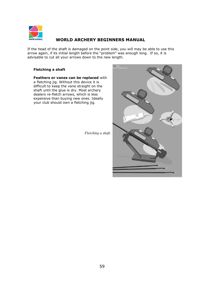

If the head of the shaft is damaged on the point side, you will may be able to use this arrow again, if its initial length before the "problem" was enough long. If so, it is advisable to cut all your arrows down to the new length.

### **Fletching a shaft**

**Feathers or vanes can be replaced** with a fletching jig. Without this device it is difficult to keep the vane straight on the shaft until the glue is dry. Most archery dealers re-fletch arrows, which is less expensive than buying new ones. Ideally your club should own a fletching jig.

*Fletching a shaft.*